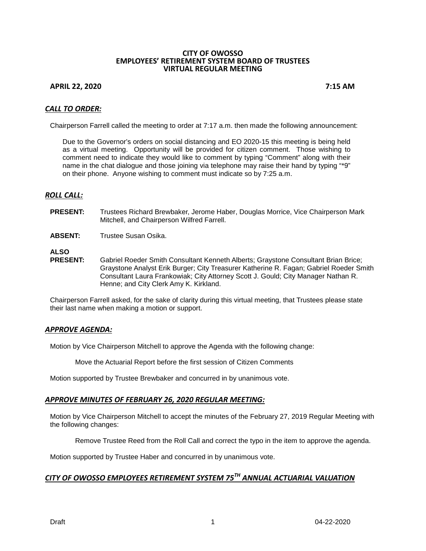#### **CITY OF OWOSSO EMPLOYEES' RETIREMENT SYSTEM BOARD OF TRUSTEES VIRTUAL REGULAR MEETING**

### **APRIL 22, 2020 7:15 AM**

## *CALL TO ORDER:*

Chairperson Farrell called the meeting to order at 7:17 a.m. then made the following announcement:

Due to the Governor's orders on social distancing and EO 2020-15 this meeting is being held as a virtual meeting. Opportunity will be provided for citizen comment. Those wishing to comment need to indicate they would like to comment by typing "Comment" along with their name in the chat dialogue and those joining via telephone may raise their hand by typing "\*9" on their phone. Anyone wishing to comment must indicate so by 7:25 a.m.

## *ROLL CALL:*

- **PRESENT:** Trustees Richard Brewbaker, Jerome Haber, Douglas Morrice, Vice Chairperson Mark Mitchell, and Chairperson Wilfred Farrell.
- **ABSENT:** Trustee Susan Osika.

**ALSO**

Gabriel Roeder Smith Consultant Kenneth Alberts; Graystone Consultant Brian Brice; Graystone Analyst Erik Burger; City Treasurer Katherine R. Fagan; Gabriel Roeder Smith Consultant Laura Frankowiak; City Attorney Scott J. Gould; City Manager Nathan R. Henne; and City Clerk Amy K. Kirkland.

Chairperson Farrell asked, for the sake of clarity during this virtual meeting, that Trustees please state their last name when making a motion or support.

### *APPROVE AGENDA:*

Motion by Vice Chairperson Mitchell to approve the Agenda with the following change:

Move the Actuarial Report before the first session of Citizen Comments

Motion supported by Trustee Brewbaker and concurred in by unanimous vote.

### *APPROVE MINUTES OF FEBRUARY 26, 2020 REGULAR MEETING:*

Motion by Vice Chairperson Mitchell to accept the minutes of the February 27, 2019 Regular Meeting with the following changes:

Remove Trustee Reed from the Roll Call and correct the typo in the item to approve the agenda.

Motion supported by Trustee Haber and concurred in by unanimous vote.

## *CITY OF OWOSSO EMPLOYEES RETIREMENT SYSTEM 75TH ANNUAL ACTUARIAL VALUATION*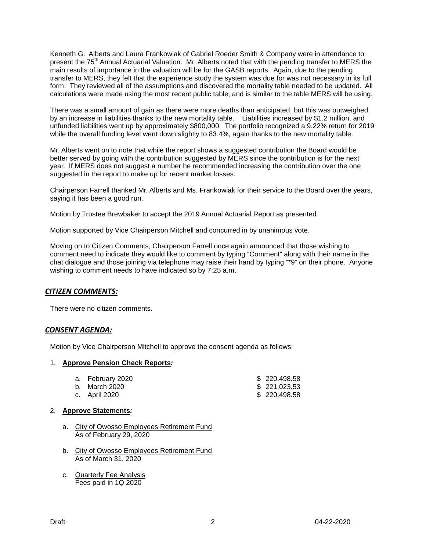Kenneth G. Alberts and Laura Frankowiak of Gabriel Roeder Smith & Company were in attendance to present the 75<sup>th</sup> Annual Actuarial Valuation. Mr. Alberts noted that with the pending transfer to MERS the main results of importance in the valuation will be for the GASB reports. Again, due to the pending transfer to MERS, they felt that the experience study the system was due for was not necessary in its full form. They reviewed all of the assumptions and discovered the mortality table needed to be updated. All calculations were made using the most recent public table, and is similar to the table MERS will be using.

There was a small amount of gain as there were more deaths than anticipated, but this was outweighed by an increase in liabilities thanks to the new mortality table. Liabilities increased by \$1.2 million, and unfunded liabilities went up by approximately \$800,000. The portfolio recognized a 9.22% return for 2019 while the overall funding level went down slightly to 83.4%, again thanks to the new mortality table.

Mr. Alberts went on to note that while the report shows a suggested contribution the Board would be better served by going with the contribution suggested by MERS since the contribution is for the next year. If MERS does not suggest a number he recommended increasing the contribution over the one suggested in the report to make up for recent market losses.

Chairperson Farrell thanked Mr. Alberts and Ms. Frankowiak for their service to the Board over the years, saying it has been a good run.

Motion by Trustee Brewbaker to accept the 2019 Annual Actuarial Report as presented.

Motion supported by Vice Chairperson Mitchell and concurred in by unanimous vote.

Moving on to Citizen Comments, Chairperson Farrell once again announced that those wishing to comment need to indicate they would like to comment by typing "Comment" along with their name in the chat dialogue and those joining via telephone may raise their hand by typing "\*9" on their phone. Anyone wishing to comment needs to have indicated so by 7:25 a.m.

### *CITIZEN COMMENTS:*

There were no citizen comments.

### *CONSENT AGENDA:*

Motion by Vice Chairperson Mitchell to approve the consent agenda as follows:

#### 1. **Approve Pension Check Reports***:*

| a. February 2020 | \$220,498.58 |
|------------------|--------------|
|                  |              |

- b. March 2020 \$ 221,023.53
- c. April 2020

## 2. **Approve Statements***:*

- a. City of Owosso Employees Retirement Fund As of February 29, 2020
- b. City of Owosso Employees Retirement Fund As of March 31, 2020
- c. Quarterly Fee Analysis Fees paid in 1Q 2020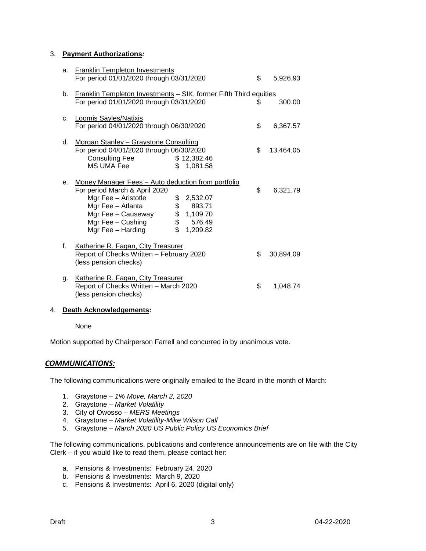### 3. **Payment Authorizations***:*

| a.          | <b>Franklin Templeton Investments</b><br>For period 01/01/2020 through 03/31/2020                                                                                                                 | \$           | 5,926.93                                                                                             |    |           |  |
|-------------|---------------------------------------------------------------------------------------------------------------------------------------------------------------------------------------------------|--------------|------------------------------------------------------------------------------------------------------|----|-----------|--|
| b.          | <b>Franklin Templeton Investments - SIK, former Fifth Third equities</b><br>For period 01/01/2020 through 03/31/2020<br>300.00<br>\$                                                              |              |                                                                                                      |    |           |  |
| C.          | Loomis Sayles/Natixis<br>For period 04/01/2020 through 06/30/2020                                                                                                                                 | \$           | 6,367.57                                                                                             |    |           |  |
| d.          | Morgan Stanley - Graystone Consulting<br>For period 04/01/2020 through 06/30/2020<br><b>Consulting Fee</b><br>MS UMA Fee                                                                          | \$           | \$12,382.46<br>1,081.58                                                                              | \$ | 13,464.05 |  |
| е.          | Money Manager Fees - Auto deduction from portfolio<br>For period March & April 2020<br>Mgr Fee - Aristotle<br>Mgr Fee - Atlanta<br>Mgr Fee - Causeway<br>Mgr Fee $-$ Cushing<br>Mgr Fee - Harding | $\mathbb{S}$ | $\begin{array}{cc} $ & 2,532.07 \\ $ & 893.71 \\ $ & 1,109.70 \\ $ & 576.49 \end{array}$<br>1,209.82 | \$ | 6,321.79  |  |
| $f_{\perp}$ | Katherine R. Fagan, City Treasurer<br>Report of Checks Written - February 2020<br>(less pension checks)                                                                                           |              |                                                                                                      | \$ | 30,894.09 |  |
| g.          | Katherine R. Fagan, City Treasurer<br>Report of Checks Written - March 2020<br>(less pension checks)                                                                                              |              |                                                                                                      | \$ | 1,048.74  |  |

#### 4. **Death Acknowledgements:**

#### None

Motion supported by Chairperson Farrell and concurred in by unanimous vote.

### *COMMUNICATIONS:*

The following communications were originally emailed to the Board in the month of March:

- 1. Graystone *1% Move, March 2, 2020*
- 2. Graystone *Market Volatility*
- 3. City of Owosso *MERS Meetings*
- 4. Graystone *Market Volatility-Mike Wilson Call*
- 5. Graystone *March 2020 US Public Policy US Economics Brief*

The following communications, publications and conference announcements are on file with the City Clerk – if you would like to read them, please contact her:

- a. Pensions & Investments: February 24, 2020
- b. Pensions & Investments: March 9, 2020
- c. Pensions & Investments: April 6, 2020 (digital only)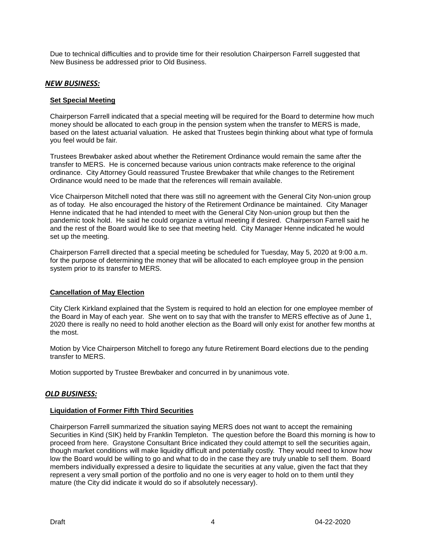Due to technical difficulties and to provide time for their resolution Chairperson Farrell suggested that New Business be addressed prior to Old Business.

## *NEW BUSINESS:*

#### **Set Special Meeting**

Chairperson Farrell indicated that a special meeting will be required for the Board to determine how much money should be allocated to each group in the pension system when the transfer to MERS is made, based on the latest actuarial valuation. He asked that Trustees begin thinking about what type of formula you feel would be fair.

Trustees Brewbaker asked about whether the Retirement Ordinance would remain the same after the transfer to MERS. He is concerned because various union contracts make reference to the original ordinance. City Attorney Gould reassured Trustee Brewbaker that while changes to the Retirement Ordinance would need to be made that the references will remain available.

Vice Chairperson Mitchell noted that there was still no agreement with the General City Non-union group as of today. He also encouraged the history of the Retirement Ordinance be maintained. City Manager Henne indicated that he had intended to meet with the General City Non-union group but then the pandemic took hold. He said he could organize a virtual meeting if desired. Chairperson Farrell said he and the rest of the Board would like to see that meeting held. City Manager Henne indicated he would set up the meeting.

Chairperson Farrell directed that a special meeting be scheduled for Tuesday, May 5, 2020 at 9:00 a.m. for the purpose of determining the money that will be allocated to each employee group in the pension system prior to its transfer to MERS.

### **Cancellation of May Election**

City Clerk Kirkland explained that the System is required to hold an election for one employee member of the Board in May of each year. She went on to say that with the transfer to MERS effective as of June 1, 2020 there is really no need to hold another election as the Board will only exist for another few months at the most.

Motion by Vice Chairperson Mitchell to forego any future Retirement Board elections due to the pending transfer to MERS.

Motion supported by Trustee Brewbaker and concurred in by unanimous vote.

## *OLD BUSINESS:*

### **Liquidation of Former Fifth Third Securities**

Chairperson Farrell summarized the situation saying MERS does not want to accept the remaining Securities in Kind (SIK) held by Franklin Templeton. The question before the Board this morning is how to proceed from here. Graystone Consultant Brice indicated they could attempt to sell the securities again, though market conditions will make liquidity difficult and potentially costly. They would need to know how low the Board would be willing to go and what to do in the case they are truly unable to sell them. Board members individually expressed a desire to liquidate the securities at any value, given the fact that they represent a very small portion of the portfolio and no one is very eager to hold on to them until they mature (the City did indicate it would do so if absolutely necessary).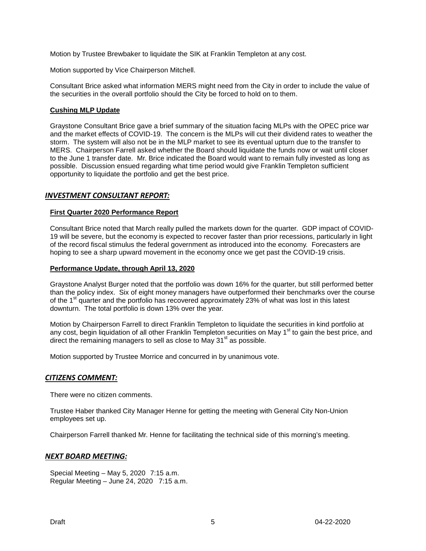Motion by Trustee Brewbaker to liquidate the SIK at Franklin Templeton at any cost.

Motion supported by Vice Chairperson Mitchell.

Consultant Brice asked what information MERS might need from the City in order to include the value of the securities in the overall portfolio should the City be forced to hold on to them.

#### **Cushing MLP Update**

Graystone Consultant Brice gave a brief summary of the situation facing MLPs with the OPEC price war and the market effects of COVID-19. The concern is the MLPs will cut their dividend rates to weather the storm. The system will also not be in the MLP market to see its eventual upturn due to the transfer to MERS. Chairperson Farrell asked whether the Board should liquidate the funds now or wait until closer to the June 1 transfer date. Mr. Brice indicated the Board would want to remain fully invested as long as possible. Discussion ensued regarding what time period would give Franklin Templeton sufficient opportunity to liquidate the portfolio and get the best price.

### *INVESTMENT CONSULTANT REPORT:*

#### **First Quarter 2020 Performance Report**

Consultant Brice noted that March really pulled the markets down for the quarter. GDP impact of COVID-19 will be severe, but the economy is expected to recover faster than prior recessions, particularly in light of the record fiscal stimulus the federal government as introduced into the economy. Forecasters are hoping to see a sharp upward movement in the economy once we get past the COVID-19 crisis.

#### **Performance Update, through April 13, 2020**

Graystone Analyst Burger noted that the portfolio was down 16% for the quarter, but still performed better than the policy index. Six of eight money managers have outperformed their benchmarks over the course of the 1<sup>st</sup> quarter and the portfolio has recovered approximately 23% of what was lost in this latest downturn. The total portfolio is down 13% over the year.

Motion by Chairperson Farrell to direct Franklin Templeton to liquidate the securities in kind portfolio at any cost, begin liquidation of all other Franklin Templeton securities on May 1<sup>st</sup> to gain the best price, and direct the remaining managers to sell as close to May  $31<sup>st</sup>$  as possible.

Motion supported by Trustee Morrice and concurred in by unanimous vote.

### *CITIZENS COMMENT:*

There were no citizen comments.

Trustee Haber thanked City Manager Henne for getting the meeting with General City Non-Union employees set up.

Chairperson Farrell thanked Mr. Henne for facilitating the technical side of this morning's meeting.

### *NEXT BOARD MEETING:*

Special Meeting – May 5, 2020 7:15 a.m. Regular Meeting – June 24, 2020 7:15 a.m.